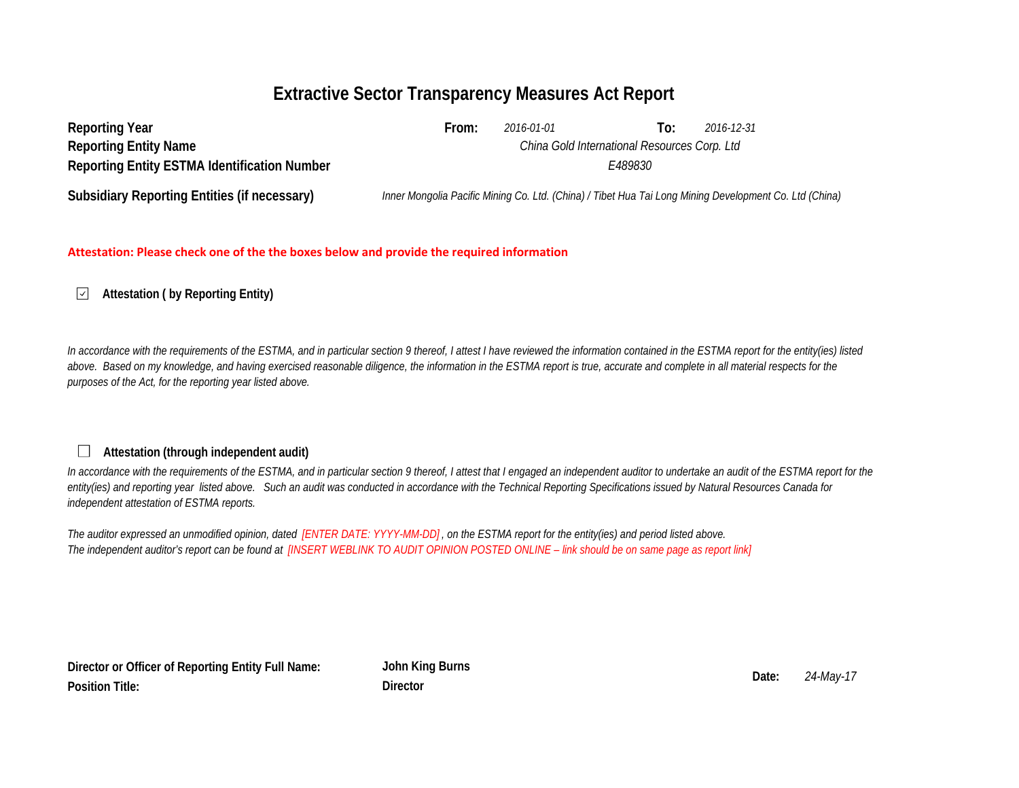# **Extractive Sector Transparency Measures Act Report**

| <b>Reporting Year</b>                               | From:                                        | 2016-01-01 | 10: | 2016-12-31                                                                                             |  |  |
|-----------------------------------------------------|----------------------------------------------|------------|-----|--------------------------------------------------------------------------------------------------------|--|--|
| <b>Reporting Entity Name</b>                        | China Gold International Resources Corp. Ltd |            |     |                                                                                                        |  |  |
| <b>Reporting Entity ESTMA Identification Number</b> | E489830                                      |            |     |                                                                                                        |  |  |
| <b>Subsidiary Reporting Entities (if necessary)</b> |                                              |            |     | Inner Mongolia Pacific Mining Co. Ltd. (China) / Tibet Hua Tai Long Mining Development Co. Ltd (China) |  |  |

### **Attestation: Please check one of the the boxes below and provide the required information**

#### $\checkmark$ **Attestation ( by Reporting Entity)**

In accordance with the requirements of the ESTMA, and in particular section 9 thereof, I attest I have reviewed the information contained in the ESTMA report for the entity(ies) listed above. Based on my knowledge, and having exercised reasonable diligence, the information in the ESTMA report is true, accurate and complete in all material respects for the *purposes of the Act, for the reporting year listed above.* 

## **Attestation (through independent audit)**

In accordance with the requirements of the ESTMA, and in particular section 9 thereof, I attest that I engaged an independent auditor to undertake an audit of the ESTMA report for the *entity(ies) and reporting year listed above. Such an audit was conducted in accordance with the Technical Reporting Specifications issued by Natural Resources Canada for independent attestation of ESTMA reports.* 

*The auditor expressed an unmodified opinion, dated [ENTER DATE: YYYY-MM-DD] , on the ESTMA report for the entity(ies) and period listed above. The independent auditor's report can be found at [INSERT WEBLINK TO AUDIT OPINION POSTED ONLINE – link should be on same page as report link]* 

**Director or Officer of Reporting Entity Full Name: Position Title:**

**John King Burns Date:** *24-May-17* **Director**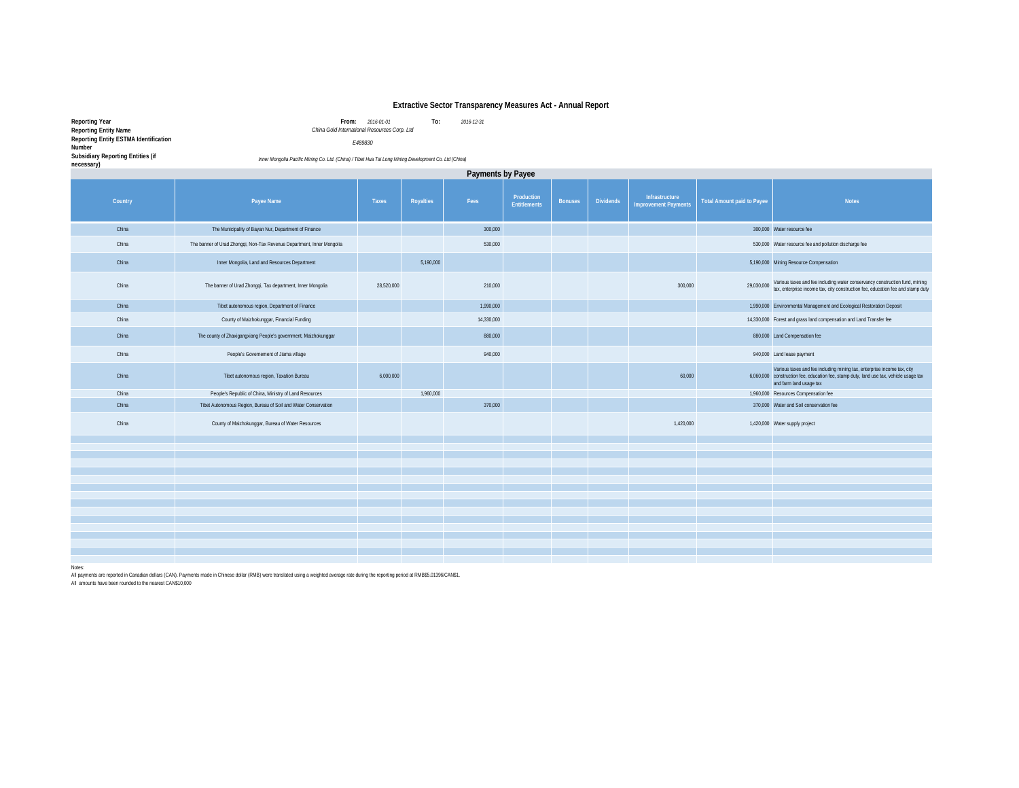#### **Extractive Sector Transparency Measures Act - Annual Report**

**Reporting Year From:** *2016-01-01* **To:** *2016-12-31 China Gold International Resources Corp. Ltd* **Reporting Entity Name Reporting Entity ESTMA Identification Number**

*E489830*

**Subsidiary Reporting Entities (if necessary)** *in*  $\frac{1}{2}$  *Co. Ltd. (China) / Inner Mongolia Pacific Mining Co. Ltd. (China) / Tibet Hua Tai Long Mining Development Co. Ltd (China) / Tibet Hua Tai Long Mining Development Co. Ltd (China) / Tibet Hua* **Country Payee Name Payee Name Payee Name Taxes Royalties Pees Production Entitlements Bonuses Dividends Infrastructure Improvement Payments Total Amount paid to Payee Notes** China The Municipality of Bayan Nur, Department of Finance 300,000 3000,000 3000 3000 300,000 Water resource fee China The banner of Urad Zhongqi, Non-Tax Revenue Department, Inner Mongolia structure of the china 530,000 530,000 530,000 530,000 530,000 530,000 530,000 530,000 530,000 530,000 530,000 530,000 530,000 530,000 530,000 53 China Inner Mongolia, Land and Resources Department 5,190,000 5,190,000 5,190,000 5,190,000 Mining Resource Compensation The banner of Urad Zhongal, Tax and Department Inner Management of the 26,520,000 of the 20,000 controlled and the controlled and the music of the controlled and the controlled and the controlled and stamp day of the contr China Tibet autonomous region, Department of Finance 1,990,000 1,990,000 1,990,000 1,990,000 1,990,000 1,990,000 Environmental Management and Ecological Restoration Deposit China County of Maizhokunggar, Financial Funding 14,330,000 14,330,000 14,330,000 14,330,000 14,330,000 14,330,000 14,4330,000 14,4330,000 14,4330,000 14,4330,000 14,4330,000 14,4330,000 14,4330,000 14,4330,000 14,4330,000 China The county of Zhaxigangxiang People's government, Maizhokunggar 880,000 880,000 Land Compensation fee China People's Governement of Jiama village 940,000 940,000 Land lease payment China Tibet autonomous region, Taxation Bureau 6,000,000 60,000 6,060,000 Various taxes and fee including mining tax, enterprise income tax, city construction fee, education fee, stamp duty, land use tax, vehicle usage tax and farm land usage tax China People's Republic of China, Ministry of Land Resources 1,960,000 1,960,000 1,960,000 1,960,000 Resources Compensation fee China Tibet Autonomous Region, Bureau of Soil and Water Conservation 370,000 370,000 370,000 370,000 370,000 Water and Soil conservation fee China County of Maizhokunggar, Bureau of Water Resources 1,420,000 Water supply project 1,420,000 Water supply project **Payments by Payee**

Notes:

All payments are reported in Canadian dollars (CAN). Payments made in Chinese dollar (RMB) were translated using a weighted average rate during the reporting period at RMB\$5.01396/CAN\$1.

All amounts have been rounded to the nearest CAN\$10,000